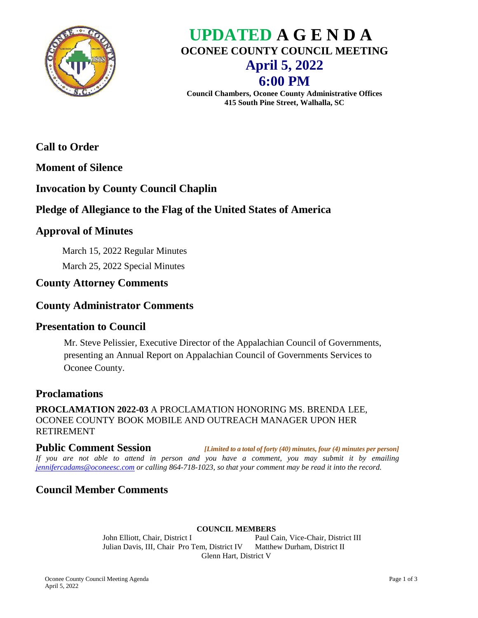

# **UPDATED A G E N D A OCONEE COUNTY COUNCIL MEETING April 5, 2022 6:00 PM**

**Council Chambers, Oconee County Administrative Offices 415 South Pine Street, Walhalla, SC**

# **Call to Order**

**Moment of Silence**

# **Invocation by County Council Chaplin**

# **Pledge of Allegiance to the Flag of the United States of America**

### **Approval of Minutes**

March 15, 2022 Regular Minutes March 25, 2022 Special Minutes

# **County Attorney Comments**

### **County Administrator Comments**

### **Presentation to Council**

Mr. Steve Pelissier, Executive Director of the Appalachian Council of Governments, presenting an Annual Report on Appalachian Council of Governments Services to Oconee County.

### **Proclamations**

**PROCLAMATION 2022-03** A PROCLAMATION HONORING MS. BRENDA LEE, OCONEE COUNTY BOOK MOBILE AND OUTREACH MANAGER UPON HER RETIREMENT

**Public Comment Session** *[Limited to a total of forty (40) minutes, four (4) minutes per person] If you are not able to attend in person and you have a comment, you may submit it by emailing [jennifercadams@oconeesc.com](mailto:jennifercadams@oconeesc.com) or calling 864-718-1023, so that your comment may be read it into the record.*

# **Council Member Comments**

#### **COUNCIL MEMBERS**

John Elliott, Chair, District I Paul Cain, Vice-Chair, District III Julian Davis, III, Chair Pro Tem, District IV Matthew Durham, District II Glenn Hart, District V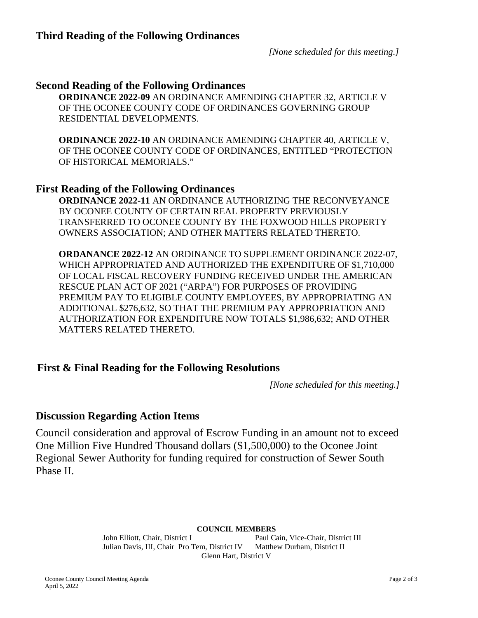*[None scheduled for this meeting.]*

#### **Second Reading of the Following Ordinances**

**ORDINANCE 2022-09** AN ORDINANCE AMENDING CHAPTER 32, ARTICLE V OF THE OCONEE COUNTY CODE OF ORDINANCES GOVERNING GROUP RESIDENTIAL DEVELOPMENTS.

**ORDINANCE 2022-10** AN ORDINANCE AMENDING CHAPTER 40, ARTICLE V, OF THE OCONEE COUNTY CODE OF ORDINANCES, ENTITLED "PROTECTION OF HISTORICAL MEMORIALS."

#### **First Reading of the Following Ordinances**

**ORDINANCE 2022-11** AN ORDINANCE AUTHORIZING THE RECONVEYANCE BY OCONEE COUNTY OF CERTAIN REAL PROPERTY PREVIOUSLY TRANSFERRED TO OCONEE COUNTY BY THE FOXWOOD HILLS PROPERTY OWNERS ASSOCIATION; AND OTHER MATTERS RELATED THERETO.

**ORDANANCE 2022-12** AN ORDINANCE TO SUPPLEMENT ORDINANCE 2022-07, WHICH APPROPRIATED AND AUTHORIZED THE EXPENDITURE OF \$1,710,000 OF LOCAL FISCAL RECOVERY FUNDING RECEIVED UNDER THE AMERICAN RESCUE PLAN ACT OF 2021 ("ARPA") FOR PURPOSES OF PROVIDING PREMIUM PAY TO ELIGIBLE COUNTY EMPLOYEES, BY APPROPRIATING AN ADDITIONAL \$276,632, SO THAT THE PREMIUM PAY APPROPRIATION AND AUTHORIZATION FOR EXPENDITURE NOW TOTALS \$1,986,632; AND OTHER MATTERS RELATED THERETO.

### **First & Final Reading for the Following Resolutions**

*[None scheduled for this meeting.]*

### **Discussion Regarding Action Items**

Council consideration and approval of Escrow Funding in an amount not to exceed One Million Five Hundred Thousand dollars (\$1,500,000) to the Oconee Joint Regional Sewer Authority for funding required for construction of Sewer South Phase II.

#### **COUNCIL MEMBERS**

John Elliott, Chair, District I Paul Cain, Vice-Chair, District III Julian Davis, III, Chair Pro Tem, District IV Matthew Durham, District II Glenn Hart, District V